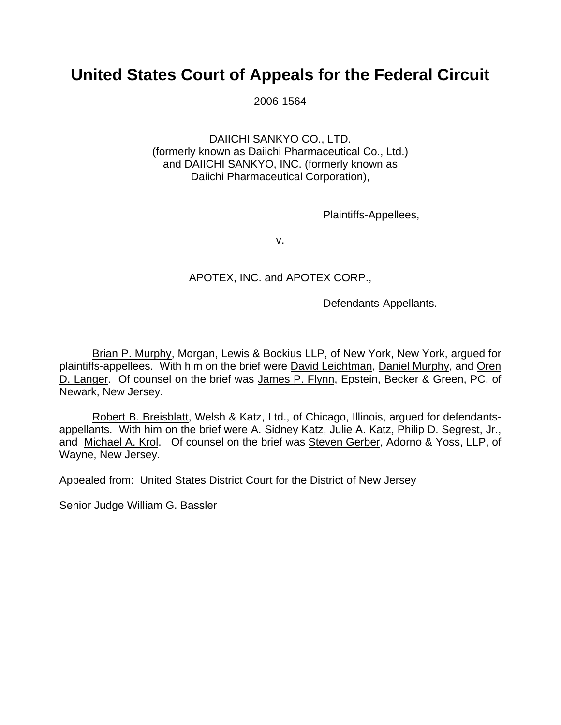## **United States Court of Appeals for the Federal Circuit**

2006-1564

DAIICHI SANKYO CO., LTD. (formerly known as Daiichi Pharmaceutical Co., Ltd.) and DAIICHI SANKYO, INC. (formerly known as Daiichi Pharmaceutical Corporation),

Plaintiffs-Appellees,

v.

## APOTEX, INC. and APOTEX CORP.,

Defendants-Appellants.

Brian P. Murphy, Morgan, Lewis & Bockius LLP, of New York, New York, argued for plaintiffs-appellees. With him on the brief were David Leichtman, Daniel Murphy, and Oren D. Langer. Of counsel on the brief was James P. Flynn, Epstein, Becker & Green, PC, of Newark, New Jersey.

Robert B. Breisblatt, Welsh & Katz, Ltd., of Chicago, Illinois, argued for defendantsappellants. With him on the brief were A. Sidney Katz, Julie A. Katz, Philip D. Segrest, Jr., and Michael A. Krol. Of counsel on the brief was Steven Gerber, Adorno & Yoss, LLP, of Wayne, New Jersey.

Appealed from: United States District Court for the District of New Jersey

Senior Judge William G. Bassler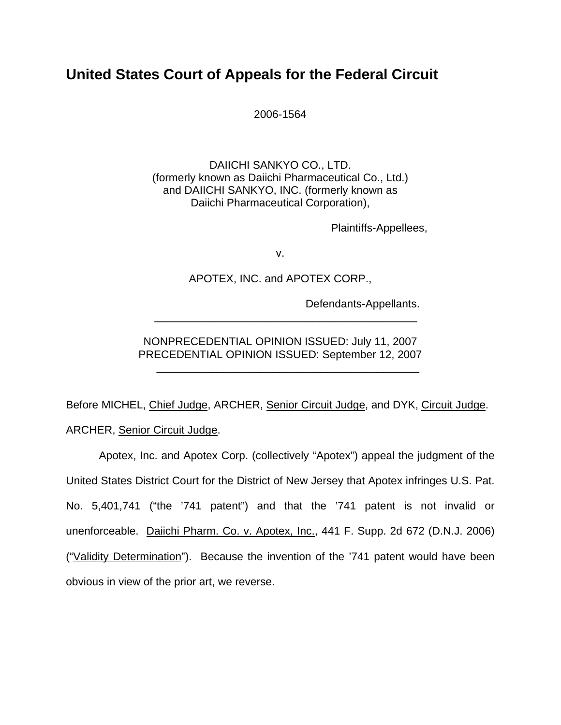## **United States Court of Appeals for the Federal Circuit**

2006-1564

DAIICHI SANKYO CO., LTD. (formerly known as Daiichi Pharmaceutical Co., Ltd.) and DAIICHI SANKYO, INC. (formerly known as Daiichi Pharmaceutical Corporation),

Plaintiffs-Appellees,

v.

APOTEX, INC. and APOTEX CORP.,

Defendants-Appellants.

NONPRECEDENTIAL OPINION ISSUED: July 11, 2007 PRECEDENTIAL OPINION ISSUED: September 12, 2007

 $\frac{1}{\sqrt{2\pi}}$  ,  $\frac{1}{\sqrt{2\pi}}$  ,  $\frac{1}{\sqrt{2\pi}}$  ,  $\frac{1}{\sqrt{2\pi}}$  ,  $\frac{1}{\sqrt{2\pi}}$  ,  $\frac{1}{\sqrt{2\pi}}$  ,  $\frac{1}{\sqrt{2\pi}}$  ,  $\frac{1}{\sqrt{2\pi}}$  ,  $\frac{1}{\sqrt{2\pi}}$  ,  $\frac{1}{\sqrt{2\pi}}$  ,  $\frac{1}{\sqrt{2\pi}}$  ,  $\frac{1}{\sqrt{2\pi}}$  ,  $\frac{1}{\sqrt{2\pi}}$  ,

 $\overline{\phantom{a}}$  ,  $\overline{\phantom{a}}$  ,  $\overline{\phantom{a}}$  ,  $\overline{\phantom{a}}$  ,  $\overline{\phantom{a}}$  ,  $\overline{\phantom{a}}$  ,  $\overline{\phantom{a}}$  ,  $\overline{\phantom{a}}$  ,  $\overline{\phantom{a}}$  ,  $\overline{\phantom{a}}$  ,  $\overline{\phantom{a}}$  ,  $\overline{\phantom{a}}$  ,  $\overline{\phantom{a}}$  ,  $\overline{\phantom{a}}$  ,  $\overline{\phantom{a}}$  ,  $\overline{\phantom{a}}$ 

Before MICHEL, Chief Judge, ARCHER, Senior Circuit Judge, and DYK, Circuit Judge. ARCHER, Senior Circuit Judge.

 Apotex, Inc. and Apotex Corp. (collectively "Apotex") appeal the judgment of the United States District Court for the District of New Jersey that Apotex infringes U.S. Pat. No. 5,401,741 ("the '741 patent") and that the '741 patent is not invalid or unenforceable. Daiichi Pharm. Co. v. Apotex, Inc., 441 F. Supp. 2d 672 (D.N.J. 2006) ("Validity Determination"). Because the invention of the '741 patent would have been obvious in view of the prior art, we reverse.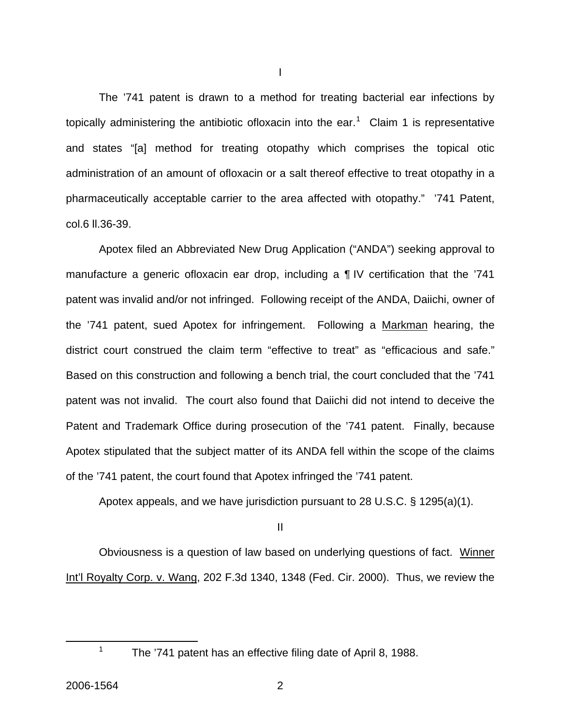The '741 patent is drawn to a method for treating bacterial ear infections by topically administering the antibiotic ofloxacin into the ear.<sup>[1](#page-2-0)</sup> Claim 1 is representative and states "[a] method for treating otopathy which comprises the topical otic administration of an amount of ofloxacin or a salt thereof effective to treat otopathy in a pharmaceutically acceptable carrier to the area affected with otopathy." '741 Patent, col.6 ll.36-39.

I

Apotex filed an Abbreviated New Drug Application ("ANDA") seeking approval to manufacture a generic ofloxacin ear drop, including a ¶ IV certification that the '741 patent was invalid and/or not infringed. Following receipt of the ANDA, Daiichi, owner of the '741 patent, sued Apotex for infringement. Following a Markman hearing, the district court construed the claim term "effective to treat" as "efficacious and safe." Based on this construction and following a bench trial, the court concluded that the '741 patent was not invalid. The court also found that Daiichi did not intend to deceive the Patent and Trademark Office during prosecution of the '741 patent. Finally, because Apotex stipulated that the subject matter of its ANDA fell within the scope of the claims of the '741 patent, the court found that Apotex infringed the '741 patent.

Apotex appeals, and we have jurisdiction pursuant to 28 U.S.C. § 1295(a)(1).

II

 Obviousness is a question of law based on underlying questions of fact. Winner Int'l Royalty Corp. v. Wang, 202 F.3d 1340, 1348 (Fed. Cir. 2000). Thus, we review the

<span id="page-2-0"></span>1

<sup>&</sup>lt;sup>1</sup> The '741 patent has an effective filing date of April 8, 1988.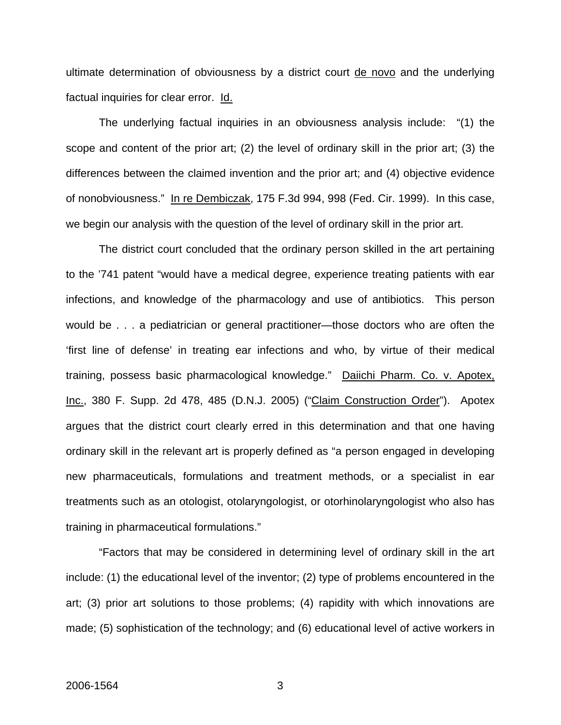ultimate determination of obviousness by a district court de novo and the underlying factual inquiries for clear error. Id.

 The underlying factual inquiries in an obviousness analysis include: "(1) the scope and content of the prior art; (2) the level of ordinary skill in the prior art; (3) the differences between the claimed invention and the prior art; and (4) objective evidence of nonobviousness." In re Dembiczak, 175 F.3d 994, 998 (Fed. Cir. 1999). In this case, we begin our analysis with the question of the level of ordinary skill in the prior art.

 The district court concluded that the ordinary person skilled in the art pertaining to the '741 patent "would have a medical degree, experience treating patients with ear infections, and knowledge of the pharmacology and use of antibiotics. This person would be . . . a pediatrician or general practitioner—those doctors who are often the 'first line of defense' in treating ear infections and who, by virtue of their medical training, possess basic pharmacological knowledge." Daiichi Pharm. Co. v. Apotex, Inc., 380 F. Supp. 2d 478, 485 (D.N.J. 2005) ("Claim Construction Order"). Apotex argues that the district court clearly erred in this determination and that one having ordinary skill in the relevant art is properly defined as "a person engaged in developing new pharmaceuticals, formulations and treatment methods, or a specialist in ear treatments such as an otologist, otolaryngologist, or otorhinolaryngologist who also has training in pharmaceutical formulations."

"Factors that may be considered in determining level of ordinary skill in the art include: (1) the educational level of the inventor; (2) type of problems encountered in the art; (3) prior art solutions to those problems; (4) rapidity with which innovations are made; (5) sophistication of the technology; and (6) educational level of active workers in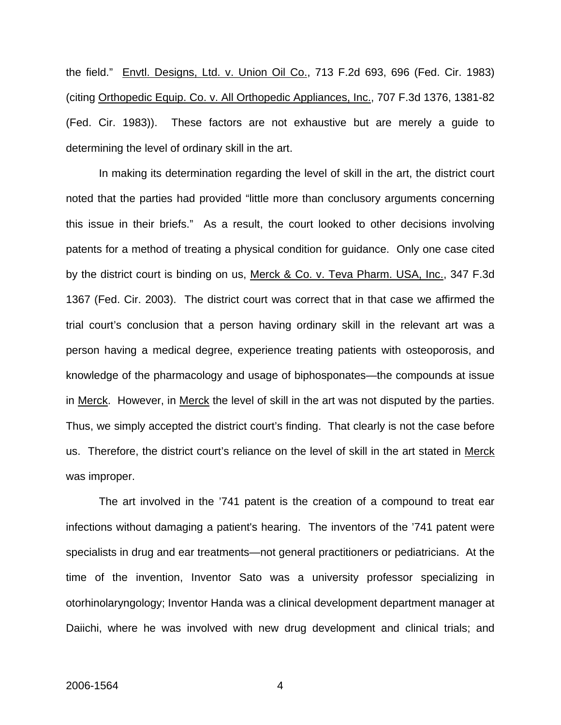the field." Envtl. Designs, Ltd. v. Union Oil Co., 713 F.2d 693, 696 (Fed. Cir. 1983) (citing Orthopedic Equip. Co. v. All Orthopedic Appliances, Inc., 707 F.3d 1376, 1381-82 (Fed. Cir. 1983)). These factors are not exhaustive but are merely a guide to determining the level of ordinary skill in the art.

 In making its determination regarding the level of skill in the art, the district court noted that the parties had provided "little more than conclusory arguments concerning this issue in their briefs." As a result, the court looked to other decisions involving patents for a method of treating a physical condition for guidance. Only one case cited by the district court is binding on us, Merck & Co. v. Teva Pharm. USA, Inc., 347 F.3d 1367 (Fed. Cir. 2003). The district court was correct that in that case we affirmed the trial court's conclusion that a person having ordinary skill in the relevant art was a person having a medical degree, experience treating patients with osteoporosis, and knowledge of the pharmacology and usage of biphosponates—the compounds at issue in Merck. However, in Merck the level of skill in the art was not disputed by the parties. Thus, we simply accepted the district court's finding. That clearly is not the case before us. Therefore, the district court's reliance on the level of skill in the art stated in Merck was improper.

 The art involved in the '741 patent is the creation of a compound to treat ear infections without damaging a patient's hearing. The inventors of the '741 patent were specialists in drug and ear treatments—not general practitioners or pediatricians. At the time of the invention, Inventor Sato was a university professor specializing in otorhinolaryngology; Inventor Handa was a clinical development department manager at Daiichi, where he was involved with new drug development and clinical trials; and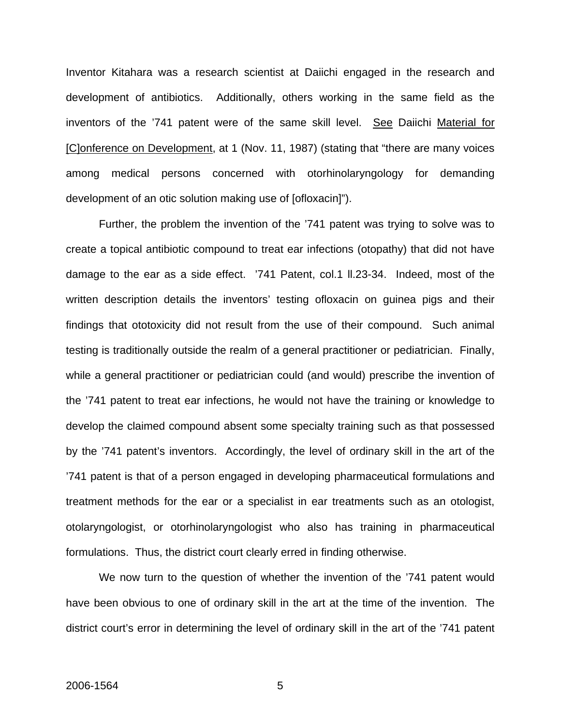Inventor Kitahara was a research scientist at Daiichi engaged in the research and development of antibiotics. Additionally, others working in the same field as the inventors of the '741 patent were of the same skill level. See Daiichi Material for [C]onference on Development, at 1 (Nov. 11, 1987) (stating that "there are many voices among medical persons concerned with otorhinolaryngology for demanding development of an otic solution making use of [ofloxacin]").

Further, the problem the invention of the '741 patent was trying to solve was to create a topical antibiotic compound to treat ear infections (otopathy) that did not have damage to the ear as a side effect. '741 Patent, col.1 ll.23-34. Indeed, most of the written description details the inventors' testing ofloxacin on guinea pigs and their findings that ototoxicity did not result from the use of their compound. Such animal testing is traditionally outside the realm of a general practitioner or pediatrician. Finally, while a general practitioner or pediatrician could (and would) prescribe the invention of the '741 patent to treat ear infections, he would not have the training or knowledge to develop the claimed compound absent some specialty training such as that possessed by the '741 patent's inventors. Accordingly, the level of ordinary skill in the art of the '741 patent is that of a person engaged in developing pharmaceutical formulations and treatment methods for the ear or a specialist in ear treatments such as an otologist, otolaryngologist, or otorhinolaryngologist who also has training in pharmaceutical formulations. Thus, the district court clearly erred in finding otherwise.

We now turn to the question of whether the invention of the '741 patent would have been obvious to one of ordinary skill in the art at the time of the invention. The district court's error in determining the level of ordinary skill in the art of the '741 patent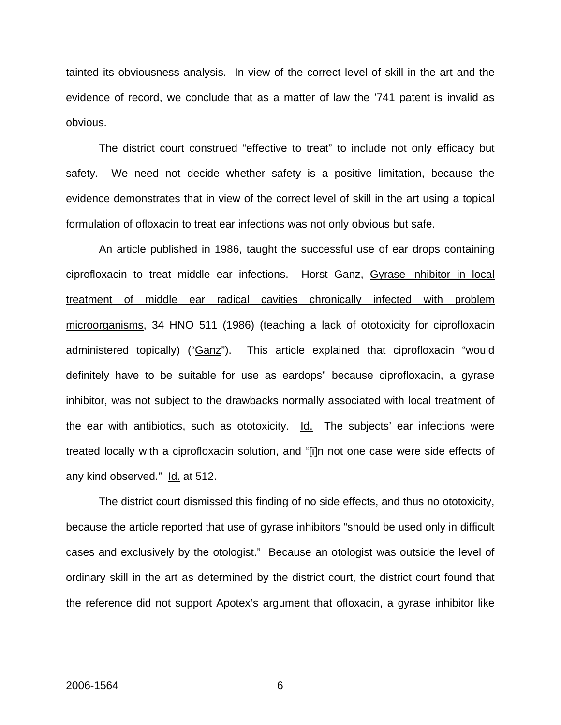tainted its obviousness analysis. In view of the correct level of skill in the art and the evidence of record, we conclude that as a matter of law the '741 patent is invalid as obvious.

 The district court construed "effective to treat" to include not only efficacy but safety. We need not decide whether safety is a positive limitation, because the evidence demonstrates that in view of the correct level of skill in the art using a topical formulation of ofloxacin to treat ear infections was not only obvious but safe.

 An article published in 1986, taught the successful use of ear drops containing ciprofloxacin to treat middle ear infections. Horst Ganz, Gyrase inhibitor in local treatment of middle ear radical cavities chronically infected with problem microorganisms, 34 HNO 511 (1986) (teaching a lack of ototoxicity for ciprofloxacin administered topically) ("Ganz"). This article explained that ciprofloxacin "would definitely have to be suitable for use as eardops" because ciprofloxacin, a gyrase inhibitor, was not subject to the drawbacks normally associated with local treatment of the ear with antibiotics, such as ototoxicity.  $Id.$  The subjects' ear infections were treated locally with a ciprofloxacin solution, and "[i]n not one case were side effects of any kind observed." Id. at 512.

The district court dismissed this finding of no side effects, and thus no ototoxicity, because the article reported that use of gyrase inhibitors "should be used only in difficult cases and exclusively by the otologist." Because an otologist was outside the level of ordinary skill in the art as determined by the district court, the district court found that the reference did not support Apotex's argument that ofloxacin, a gyrase inhibitor like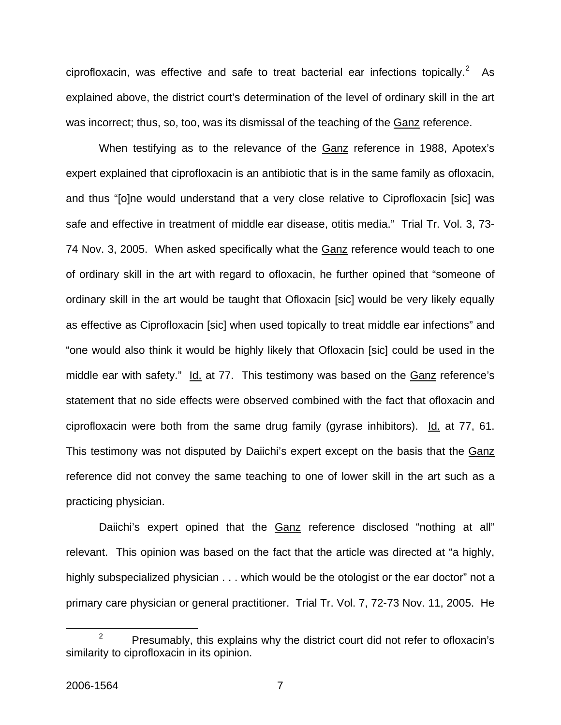ciprofloxacin, was effective and safe to treat bacterial ear infections topically.<sup>[2](#page-7-0)</sup> As explained above, the district court's determination of the level of ordinary skill in the art was incorrect; thus, so, too, was its dismissal of the teaching of the Ganz reference.

When testifying as to the relevance of the Ganz reference in 1988, Apotex's expert explained that ciprofloxacin is an antibiotic that is in the same family as ofloxacin, and thus "[o]ne would understand that a very close relative to Ciprofloxacin [sic] was safe and effective in treatment of middle ear disease, otitis media." Trial Tr. Vol. 3, 73- 74 Nov. 3, 2005. When asked specifically what the Ganz reference would teach to one of ordinary skill in the art with regard to ofloxacin, he further opined that "someone of ordinary skill in the art would be taught that Ofloxacin [sic] would be very likely equally as effective as Ciprofloxacin [sic] when used topically to treat middle ear infections" and "one would also think it would be highly likely that Ofloxacin [sic] could be used in the middle ear with safety." Id. at 77. This testimony was based on the Ganz reference's statement that no side effects were observed combined with the fact that ofloxacin and ciprofloxacin were both from the same drug family (gyrase inhibitors). Id. at  $77$ ,  $61$ . This testimony was not disputed by Daiichi's expert except on the basis that the Ganz reference did not convey the same teaching to one of lower skill in the art such as a practicing physician.

Daiichi's expert opined that the Ganz reference disclosed "nothing at all" relevant. This opinion was based on the fact that the article was directed at "a highly, highly subspecialized physician . . . which would be the otologist or the ear doctor" not a primary care physician or general practitioner. Trial Tr. Vol. 7, 72-73 Nov. 11, 2005. He

<span id="page-7-0"></span> $\frac{1}{2}$  $P^2$  Presumably, this explains why the district court did not refer to ofloxacin's similarity to ciprofloxacin in its opinion.